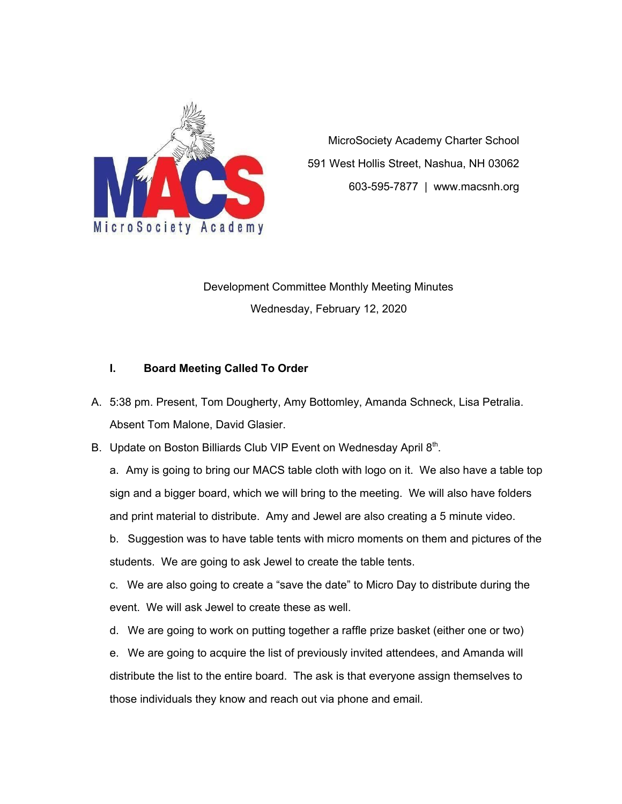

MicroSociety Academy Charter School 591 West Hollis Street, Nashua, NH 03062 603-595-7877 | www.macsnh.org

Development Committee Monthly Meeting Minutes Wednesday, February 12, 2020

## **I. Board Meeting Called To Order**

- A. 5:38 pm. Present, Tom Dougherty, Amy Bottomley, Amanda Schneck, Lisa Petralia. Absent Tom Malone, David Glasier.
- B. Update on Boston Billiards Club VIP Event on Wednesday April 8th.

a. Amy is going to bring our MACS table cloth with logo on it. We also have a table top sign and a bigger board, which we will bring to the meeting. We will also have folders and print material to distribute. Amy and Jewel are also creating a 5 minute video.

b. Suggestion was to have table tents with micro moments on them and pictures of the students. We are going to ask Jewel to create the table tents.

c. We are also going to create a "save the date" to Micro Day to distribute during the event. We will ask Jewel to create these as well.

d. We are going to work on putting together a raffle prize basket (either one or two)

e. We are going to acquire the list of previously invited attendees, and Amanda will distribute the list to the entire board. The ask is that everyone assign themselves to those individuals they know and reach out via phone and email.